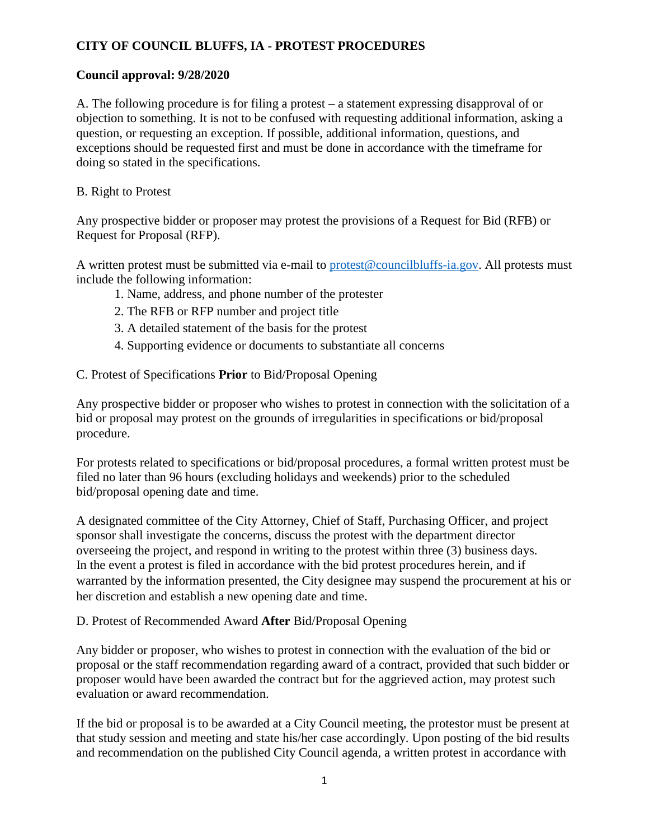# **CITY OF COUNCIL BLUFFS, IA - PROTEST PROCEDURES**

## **Council approval: 9/28/2020**

A. The following procedure is for filing a protest – a statement expressing disapproval of or objection to something. It is not to be confused with requesting additional information, asking a question, or requesting an exception. If possible, additional information, questions, and exceptions should be requested first and must be done in accordance with the timeframe for doing so stated in the specifications.

### B. Right to Protest

Any prospective bidder or proposer may protest the provisions of a Request for Bid (RFB) or Request for Proposal (RFP).

A written protest must be submitted via e-mail to [protest@councilbluffs-ia.gov.](mailto:protest@councilbluffs-ia.gov) All protests must include the following information:

- 1. Name, address, and phone number of the protester
- 2. The RFB or RFP number and project title
- 3. A detailed statement of the basis for the protest
- 4. Supporting evidence or documents to substantiate all concerns

#### C. Protest of Specifications **Prior** to Bid/Proposal Opening

Any prospective bidder or proposer who wishes to protest in connection with the solicitation of a bid or proposal may protest on the grounds of irregularities in specifications or bid/proposal procedure.

For protests related to specifications or bid/proposal procedures, a formal written protest must be filed no later than 96 hours (excluding holidays and weekends) prior to the scheduled bid/proposal opening date and time.

A designated committee of the City Attorney, Chief of Staff, Purchasing Officer, and project sponsor shall investigate the concerns, discuss the protest with the department director overseeing the project, and respond in writing to the protest within three (3) business days. In the event a protest is filed in accordance with the bid protest procedures herein, and if warranted by the information presented, the City designee may suspend the procurement at his or her discretion and establish a new opening date and time.

### D. Protest of Recommended Award **After** Bid/Proposal Opening

Any bidder or proposer, who wishes to protest in connection with the evaluation of the bid or proposal or the staff recommendation regarding award of a contract, provided that such bidder or proposer would have been awarded the contract but for the aggrieved action, may protest such evaluation or award recommendation.

If the bid or proposal is to be awarded at a City Council meeting, the protestor must be present at that study session and meeting and state his/her case accordingly. Upon posting of the bid results and recommendation on the published City Council agenda, a written protest in accordance with